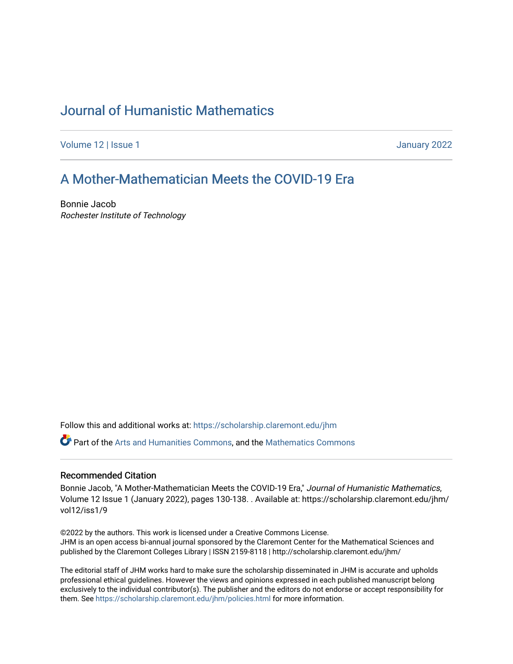# [Journal of Humanistic Mathematics](https://scholarship.claremont.edu/jhm)

[Volume 12](https://scholarship.claremont.edu/jhm/vol12) | Issue 1 January 2022

## [A Mother-Mathematician Meets the COVID-19 Era](https://scholarship.claremont.edu/jhm/vol12/iss1/9)

Bonnie Jacob Rochester Institute of Technology

Follow this and additional works at: [https://scholarship.claremont.edu/jhm](https://scholarship.claremont.edu/jhm?utm_source=scholarship.claremont.edu%2Fjhm%2Fvol12%2Fiss1%2F9&utm_medium=PDF&utm_campaign=PDFCoverPages)

Part of the [Arts and Humanities Commons,](http://network.bepress.com/hgg/discipline/438?utm_source=scholarship.claremont.edu%2Fjhm%2Fvol12%2Fiss1%2F9&utm_medium=PDF&utm_campaign=PDFCoverPages) and the [Mathematics Commons](http://network.bepress.com/hgg/discipline/174?utm_source=scholarship.claremont.edu%2Fjhm%2Fvol12%2Fiss1%2F9&utm_medium=PDF&utm_campaign=PDFCoverPages) 

#### Recommended Citation

Bonnie Jacob, "A Mother-Mathematician Meets the COVID-19 Era," Journal of Humanistic Mathematics, Volume 12 Issue 1 (January 2022), pages 130-138. . Available at: https://scholarship.claremont.edu/jhm/ vol12/iss1/9

©2022 by the authors. This work is licensed under a Creative Commons License. JHM is an open access bi-annual journal sponsored by the Claremont Center for the Mathematical Sciences and published by the Claremont Colleges Library | ISSN 2159-8118 | http://scholarship.claremont.edu/jhm/

The editorial staff of JHM works hard to make sure the scholarship disseminated in JHM is accurate and upholds professional ethical guidelines. However the views and opinions expressed in each published manuscript belong exclusively to the individual contributor(s). The publisher and the editors do not endorse or accept responsibility for them. See<https://scholarship.claremont.edu/jhm/policies.html> for more information.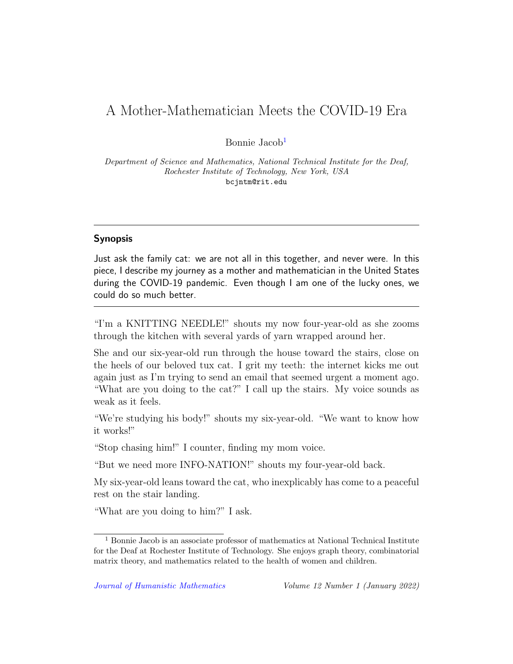### A Mother-Mathematician Meets the COVID-19 Era

Bonnie Jacob[1](#page-1-0)

Department of Science and Mathematics, National Technical Institute for the Deaf, Rochester Institute of Technology, New York, USA bcjntm@rit.edu

### Synopsis

Just ask the family cat: we are not all in this together, and never were. In this piece, I describe my journey as a mother and mathematician in the United States during the COVID-19 pandemic. Even though I am one of the lucky ones, we could do so much better.

"I'm a KNITTING NEEDLE!" shouts my now four-year-old as she zooms through the kitchen with several yards of yarn wrapped around her.

She and our six-year-old run through the house toward the stairs, close on the heels of our beloved tux cat. I grit my teeth: the internet kicks me out again just as I'm trying to send an email that seemed urgent a moment ago. "What are you doing to the cat?" I call up the stairs. My voice sounds as weak as it feels.

"We're studying his body!" shouts my six-year-old. "We want to know how it works!"

"Stop chasing him!" I counter, finding my mom voice.

"But we need more INFO-NATION!" shouts my four-year-old back.

My six-year-old leans toward the cat, who inexplicably has come to a peaceful rest on the stair landing.

"What are you doing to him?" I ask.

<span id="page-1-0"></span><sup>1</sup> Bonnie Jacob is an associate professor of mathematics at National Technical Institute for the Deaf at Rochester Institute of Technology. She enjoys graph theory, combinatorial matrix theory, and mathematics related to the health of women and children.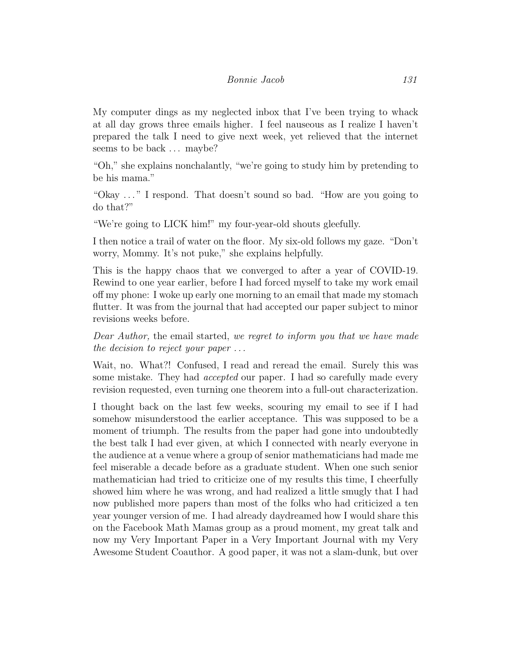My computer dings as my neglected inbox that I've been trying to whack at all day grows three emails higher. I feel nauseous as I realize I haven't prepared the talk I need to give next week, yet relieved that the internet seems to be back ... maybe?

"Oh," she explains nonchalantly, "we're going to study him by pretending to be his mama."

"Okay . . . " I respond. That doesn't sound so bad. "How are you going to do that?"

"We're going to LICK him!" my four-year-old shouts gleefully.

I then notice a trail of water on the floor. My six-old follows my gaze. "Don't worry, Mommy. It's not puke," she explains helpfully.

This is the happy chaos that we converged to after a year of COVID-19. Rewind to one year earlier, before I had forced myself to take my work email off my phone: I woke up early one morning to an email that made my stomach flutter. It was from the journal that had accepted our paper subject to minor revisions weeks before.

Dear Author, the email started, we regret to inform you that we have made the decision to reject your paper  $\dots$ 

Wait, no. What?! Confused, I read and reread the email. Surely this was some mistake. They had *accepted* our paper. I had so carefully made every revision requested, even turning one theorem into a full-out characterization.

I thought back on the last few weeks, scouring my email to see if I had somehow misunderstood the earlier acceptance. This was supposed to be a moment of triumph. The results from the paper had gone into undoubtedly the best talk I had ever given, at which I connected with nearly everyone in the audience at a venue where a group of senior mathematicians had made me feel miserable a decade before as a graduate student. When one such senior mathematician had tried to criticize one of my results this time, I cheerfully showed him where he was wrong, and had realized a little smugly that I had now published more papers than most of the folks who had criticized a ten year younger version of me. I had already daydreamed how I would share this on the Facebook Math Mamas group as a proud moment, my great talk and now my Very Important Paper in a Very Important Journal with my Very Awesome Student Coauthor. A good paper, it was not a slam-dunk, but over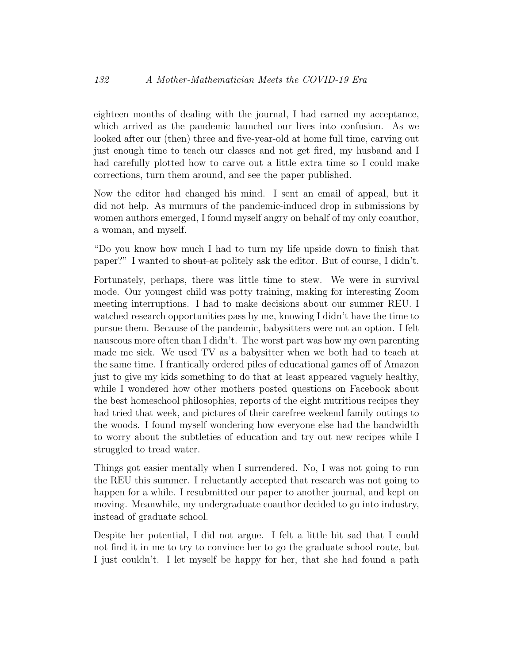eighteen months of dealing with the journal, I had earned my acceptance, which arrived as the pandemic launched our lives into confusion. As we looked after our (then) three and five-year-old at home full time, carving out just enough time to teach our classes and not get fired, my husband and I had carefully plotted how to carve out a little extra time so I could make corrections, turn them around, and see the paper published.

Now the editor had changed his mind. I sent an email of appeal, but it did not help. As murmurs of the pandemic-induced drop in submissions by women authors emerged, I found myself angry on behalf of my only coauthor, a woman, and myself.

"Do you know how much I had to turn my life upside down to finish that paper?" I wanted to shout at politely ask the editor. But of course, I didn't.

Fortunately, perhaps, there was little time to stew. We were in survival mode. Our youngest child was potty training, making for interesting Zoom meeting interruptions. I had to make decisions about our summer REU. I watched research opportunities pass by me, knowing I didn't have the time to pursue them. Because of the pandemic, babysitters were not an option. I felt nauseous more often than I didn't. The worst part was how my own parenting made me sick. We used TV as a babysitter when we both had to teach at the same time. I frantically ordered piles of educational games off of Amazon just to give my kids something to do that at least appeared vaguely healthy, while I wondered how other mothers posted questions on Facebook about the best homeschool philosophies, reports of the eight nutritious recipes they had tried that week, and pictures of their carefree weekend family outings to the woods. I found myself wondering how everyone else had the bandwidth to worry about the subtleties of education and try out new recipes while I struggled to tread water.

Things got easier mentally when I surrendered. No, I was not going to run the REU this summer. I reluctantly accepted that research was not going to happen for a while. I resubmitted our paper to another journal, and kept on moving. Meanwhile, my undergraduate coauthor decided to go into industry, instead of graduate school.

Despite her potential, I did not argue. I felt a little bit sad that I could not find it in me to try to convince her to go the graduate school route, but I just couldn't. I let myself be happy for her, that she had found a path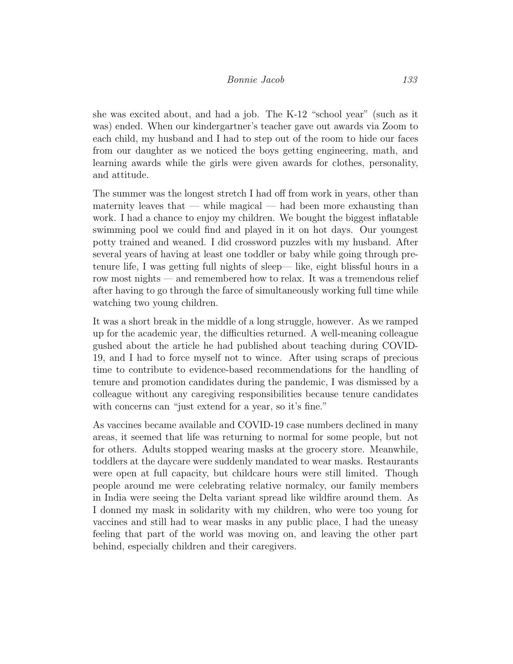she was excited about, and had a job. The K-12 "school year" (such as it was) ended. When our kindergartner's teacher gave out awards via Zoom to each child, my husband and I had to step out of the room to hide our faces from our daughter as we noticed the boys getting engineering, math, and learning awards while the girls were given awards for clothes, personality, and attitude.

The summer was the longest stretch I had off from work in years, other than maternity leaves that — while magical — had been more exhausting than work. I had a chance to enjoy my children. We bought the biggest inflatable swimming pool we could find and played in it on hot days. Our youngest potty trained and weaned. I did crossword puzzles with my husband. After several years of having at least one toddler or baby while going through pretenure life, I was getting full nights of sleep— like, eight blissful hours in a row most nights — and remembered how to relax. It was a tremendous relief after having to go through the farce of simultaneously working full time while watching two young children.

It was a short break in the middle of a long struggle, however. As we ramped up for the academic year, the difficulties returned. A well-meaning colleague gushed about the article he had published about teaching during COVID-19, and I had to force myself not to wince. After using scraps of precious time to contribute to evidence-based recommendations for the handling of tenure and promotion candidates during the pandemic, I was dismissed by a colleague without any caregiving responsibilities because tenure candidates with concerns can "just extend for a year, so it's fine."

As vaccines became available and COVID-19 case numbers declined in many areas, it seemed that life was returning to normal for some people, but not for others. Adults stopped wearing masks at the grocery store. Meanwhile, toddlers at the daycare were suddenly mandated to wear masks. Restaurants were open at full capacity, but childcare hours were still limited. Though people around me were celebrating relative normalcy, our family members in India were seeing the Delta variant spread like wildfire around them. As I donned my mask in solidarity with my children, who were too young for vaccines and still had to wear masks in any public place, I had the uneasy feeling that part of the world was moving on, and leaving the other part behind, especially children and their caregivers.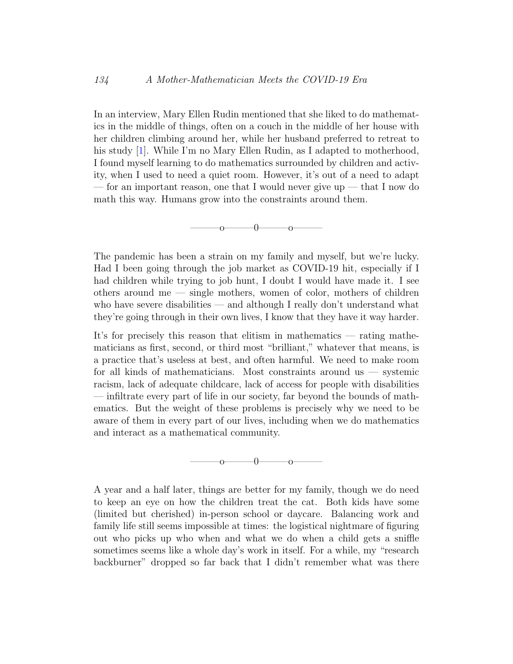In an interview, Mary Ellen Rudin mentioned that she liked to do mathematics in the middle of things, often on a couch in the middle of her house with her children climbing around her, while her husband preferred to retreat to his study [\[1\]](#page-8-0). While I'm no Mary Ellen Rudin, as I adapted to motherhood, I found myself learning to do mathematics surrounded by children and activity, when I used to need a quiet room. However, it's out of a need to adapt — for an important reason, one that I would never give up — that I now do math this way. Humans grow into the constraints around them.

 $\overline{0}$   $\overline{0}$   $\overline{0}$   $\overline{0}$ 

The pandemic has been a strain on my family and myself, but we're lucky. Had I been going through the job market as COVID-19 hit, especially if I had children while trying to job hunt, I doubt I would have made it. I see others around me — single mothers, women of color, mothers of children who have severe disabilities — and although I really don't understand what they're going through in their own lives, I know that they have it way harder.

It's for precisely this reason that elitism in mathematics — rating mathematicians as first, second, or third most "brilliant," whatever that means, is a practice that's useless at best, and often harmful. We need to make room for all kinds of mathematicians. Most constraints around us — systemic racism, lack of adequate childcare, lack of access for people with disabilities — infiltrate every part of life in our society, far beyond the bounds of mathematics. But the weight of these problems is precisely why we need to be aware of them in every part of our lives, including when we do mathematics and interact as a mathematical community.

 $-0$ ——o—

A year and a half later, things are better for my family, though we do need to keep an eye on how the children treat the cat. Both kids have some (limited but cherished) in-person school or daycare. Balancing work and family life still seems impossible at times: the logistical nightmare of figuring out who picks up who when and what we do when a child gets a sniffle sometimes seems like a whole day's work in itself. For a while, my "research backburner" dropped so far back that I didn't remember what was there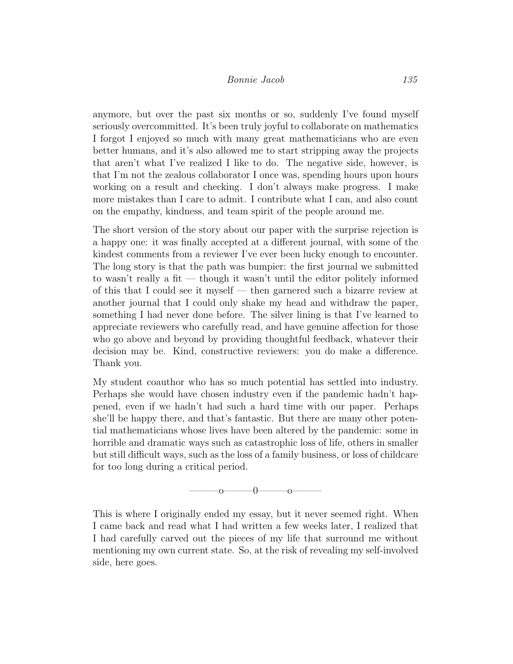anymore, but over the past six months or so, suddenly I've found myself seriously overcommitted. It's been truly joyful to collaborate on mathematics I forgot I enjoyed so much with many great mathematicians who are even better humans, and it's also allowed me to start stripping away the projects that aren't what I've realized I like to do. The negative side, however, is that I'm not the zealous collaborator I once was, spending hours upon hours working on a result and checking. I don't always make progress. I make more mistakes than I care to admit. I contribute what I can, and also count on the empathy, kindness, and team spirit of the people around me.

The short version of the story about our paper with the surprise rejection is a happy one: it was finally accepted at a different journal, with some of the kindest comments from a reviewer I've ever been lucky enough to encounter. The long story is that the path was bumpier: the first journal we submitted to wasn't really a fit — though it wasn't until the editor politely informed of this that I could see it myself — then garnered such a bizarre review at another journal that I could only shake my head and withdraw the paper, something I had never done before. The silver lining is that I've learned to appreciate reviewers who carefully read, and have genuine affection for those who go above and beyond by providing thoughtful feedback, whatever their decision may be. Kind, constructive reviewers: you do make a difference. Thank you.

My student coauthor who has so much potential has settled into industry. Perhaps she would have chosen industry even if the pandemic hadn't happened, even if we hadn't had such a hard time with our paper. Perhaps she'll be happy there, and that's fantastic. But there are many other potential mathematicians whose lives have been altered by the pandemic: some in horrible and dramatic ways such as catastrophic loss of life, others in smaller but still difficult ways, such as the loss of a family business, or loss of childcare for too long during a critical period.



This is where I originally ended my essay, but it never seemed right. When I came back and read what I had written a few weeks later, I realized that I had carefully carved out the pieces of my life that surround me without mentioning my own current state. So, at the risk of revealing my self-involved side, here goes.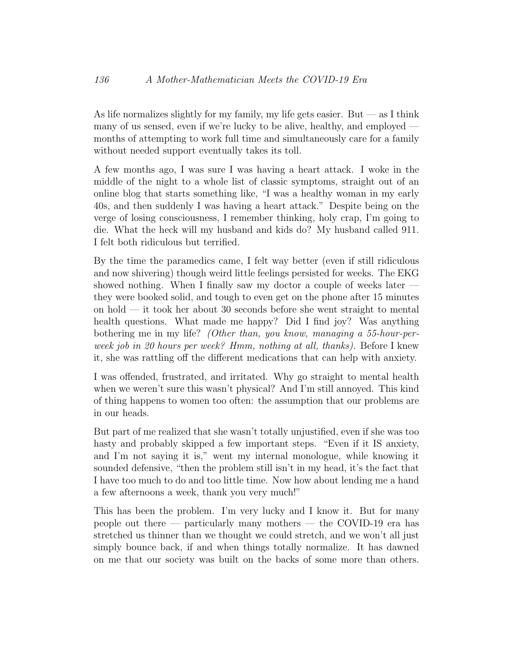As life normalizes slightly for my family, my life gets easier. But — as I think many of us sensed, even if we're lucky to be alive, healthy, and employed months of attempting to work full time and simultaneously care for a family without needed support eventually takes its toll.

A few months ago, I was sure I was having a heart attack. I woke in the middle of the night to a whole list of classic symptoms, straight out of an online blog that starts something like, "I was a healthy woman in my early 40s, and then suddenly I was having a heart attack." Despite being on the verge of losing consciousness, I remember thinking, holy crap, I'm going to die. What the heck will my husband and kids do? My husband called 911. I felt both ridiculous but terrified.

By the time the paramedics came, I felt way better (even if still ridiculous and now shivering) though weird little feelings persisted for weeks. The EKG showed nothing. When I finally saw my doctor a couple of weeks later they were booked solid, and tough to even get on the phone after 15 minutes on hold — it took her about 30 seconds before she went straight to mental health questions. What made me happy? Did I find joy? Was anything bothering me in my life? (Other than, you know, managing a 55-hour-perweek job in 20 hours per week? Hmm, nothing at all, thanks). Before I knew it, she was rattling off the different medications that can help with anxiety.

I was offended, frustrated, and irritated. Why go straight to mental health when we weren't sure this wasn't physical? And I'm still annoyed. This kind of thing happens to women too often: the assumption that our problems are in our heads.

But part of me realized that she wasn't totally unjustified, even if she was too hasty and probably skipped a few important steps. "Even if it IS anxiety, and I'm not saying it is," went my internal monologue, while knowing it sounded defensive, "then the problem still isn't in my head, it's the fact that I have too much to do and too little time. Now how about lending me a hand a few afternoons a week, thank you very much!"

This has been the problem. I'm very lucky and I know it. But for many people out there — particularly many mothers — the COVID-19 era has stretched us thinner than we thought we could stretch, and we won't all just simply bounce back, if and when things totally normalize. It has dawned on me that our society was built on the backs of some more than others.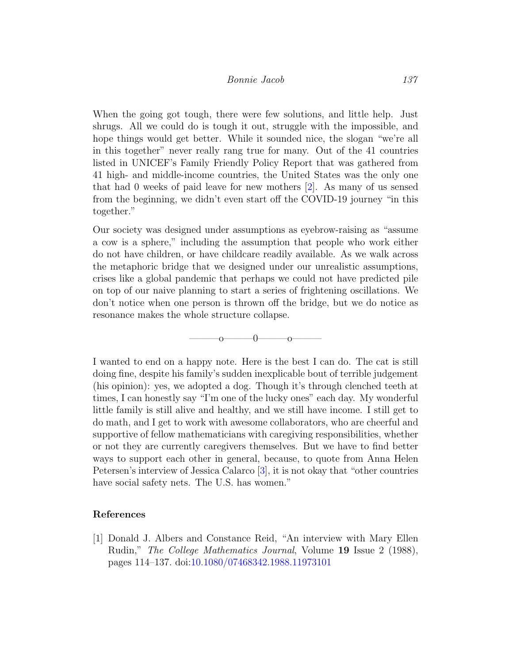When the going got tough, there were few solutions, and little help. Just shrugs. All we could do is tough it out, struggle with the impossible, and hope things would get better. While it sounded nice, the slogan "we're all in this together" never really rang true for many. Out of the 41 countries listed in UNICEF's Family Friendly Policy Report that was gathered from 41 high- and middle-income countries, the United States was the only one that had 0 weeks of paid leave for new mothers [\[2\]](#page-9-0). As many of us sensed from the beginning, we didn't even start off the COVID-19 journey "in this together."

Our society was designed under assumptions as eyebrow-raising as "assume a cow is a sphere," including the assumption that people who work either do not have children, or have childcare readily available. As we walk across the metaphoric bridge that we designed under our unrealistic assumptions, crises like a global pandemic that perhaps we could not have predicted pile on top of our naive planning to start a series of frightening oscillations. We don't notice when one person is thrown off the bridge, but we do notice as resonance makes the whole structure collapse.



I wanted to end on a happy note. Here is the best I can do. The cat is still doing fine, despite his family's sudden inexplicable bout of terrible judgement (his opinion): yes, we adopted a dog. Though it's through clenched teeth at times, I can honestly say "I'm one of the lucky ones" each day. My wonderful little family is still alive and healthy, and we still have income. I still get to do math, and I get to work with awesome collaborators, who are cheerful and supportive of fellow mathematicians with caregiving responsibilities, whether or not they are currently caregivers themselves. But we have to find better ways to support each other in general, because, to quote from Anna Helen Petersen's interview of Jessica Calarco [\[3\]](#page-9-1), it is not okay that "other countries have social safety nets. The U.S. has women."

#### References

<span id="page-8-0"></span>[1] Donald J. Albers and Constance Reid, "An interview with Mary Ellen Rudin," The College Mathematics Journal, Volume 19 Issue 2 (1988), pages 114–137. doi[:10.1080/07468342.1988.11973101](http://dx.doi.org/10.1080/07468342.1988.11973101)